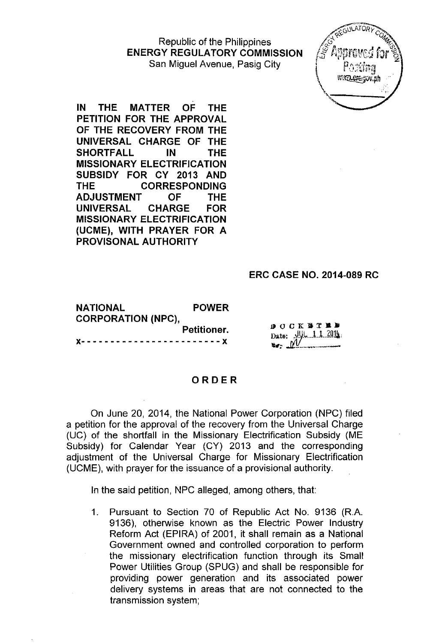Republic of the Philippines **ENERGY REGULATORY COMMISSION** San Miguel Avenue, Pasig City



**IN THE MATTER OF THE PETITION FOR THE APPROVAL OF THE RECOVERY FROM THE UNIVERSAL CHARGE OF THE SHORTFALL IN THE MISSIONARY ELECTRIFICATION SUBSIDY FOR CY 2013 AND THE CORRESPONDING ADJUSTMENT OF THE UNIVERSAL CHARGE FOR MISSIONARY ELECTRIFICATION (UCME), WITH PRAYER FOR A PROVISONAL AUTHORITY**

### **ERC CASE NO. 2014-089 RC**

**NATIONAL POWER CORPORATION (NPC), Petitioner. x- - - - - - - - - - - - - - - - - - - - - - - -** x

**BOCK WTMP** Date:  $\frac{11}{4}$ , 1, 1, 2014.

### **ORDER**

On June 20, 2014, the National Power Corporation (NPC) filed a petition for the approval of the recovery from the Universal Charge (UC) of the shortfall in the Missionary Electrification Subsidy (ME Subsidy) for Calendar Year (CY) 2013 and the corresponding adjustment of the Universal Charge for Missionary Electrification (UCME), with prayer for the issuance of a provisional authority.

In the said petition, NPC alleged, among others, that:

1. Pursuant to Section 70 of Republic Act No. 9136 (R.A. 9136), otherwise known as the Electric Power Industry Reform Act (EPIRA) of 2001, it shall remain as a Natipnal Government owned and controlled corporation to perform the missionary electrification function through its Small Power Utilities Group (SPUG) and shall be responsible for providing power generation and its associated power delivery systems in areas that are not connected to the transmission system;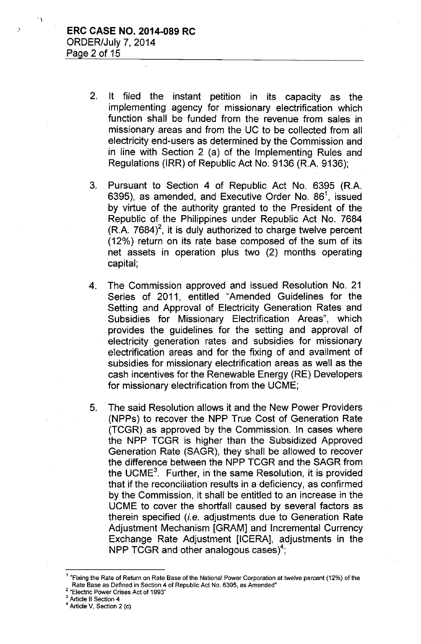.'

 $\ddot{\phantom{0}}$ 

- 2. It filed the instant petition in its capacity as the implementing agency for missionary electrification which function shall be funded from the revenue from sales in missionary areas and from the UC to be collected from all electricity end-users as determined by the Commission and in line with Section 2 (a) of the Implementing Rules and Regulations (IRR) of Republic Act No. 9136 (R.A. 9136);
- 3. Pursuant to Section 4 of Republic Act No. 6395 (RA. 6395), as amended, and Executive Order No. 86<sup>1</sup>, issued by virtue of the authority granted to the President of the Republic of the Philippines under Republic Act No. 7684  $(R.A. 7684)^2$ , it is duly authorized to charge twelve percent (12%) return on its rate base composed of the sum of its net assets in operation plus two (2) months operating capital;
- 4. The Commission approved and issued Resolution No. 21 Series of 2011, entitled "Amended Guidelines for the Setting and Approval of Electricity Generation Rates and Subsidies for Missionary Electrification Areas", which provides the guidelines for the setting and approval of electricity generation rates and subsidies for missionary electrification areas and for the fixing of and availment of subsidies for missionary electrification areas as well as the cash incentives for the Renewable Energy (RE) Developers for missionary electrification from the UCME;
- 5. The said Resolution allows it and the New Power Providers (NPPs) to recover the NPP True Cost of Generation Rate (TCGR). as approved by the Commission. In cases where the NPP TCGR is higher than the Subsidized Approved Generation Rate (SAGR), they shall be allowed to recover the difference between the NPP TCGR and the SAGR from the UCME<sup>3</sup>. Further, in the same Resolution, it is provided that if the reconciliation results in a deficiency, as confirmed by the Commission, it shall be entitled to an increase in the UCME to cover the shortfall caused by several factors as therein specified *(i.e.* adjustments due to Generation Rate Adjustment Mechanism [GRAM] and Incremental Currency Exchange Rate Adjustment [ICERA], adjustments in the NPP TCGR and other analogous cases $4$ :

2 "Electric Power Crises Act of 1993"

<sup>&</sup>lt;sup>1</sup> "Fixing the Rate of Return on Rate Base of the National Power Corporation at twelve percent (12%) of the Rate Base as Defined in Section 4 of Republic Act No. 6395, as Amended"

<sup>&</sup>lt;sup>3</sup> Article II Section 4

<sup>4</sup> Article V, Section 2 (c)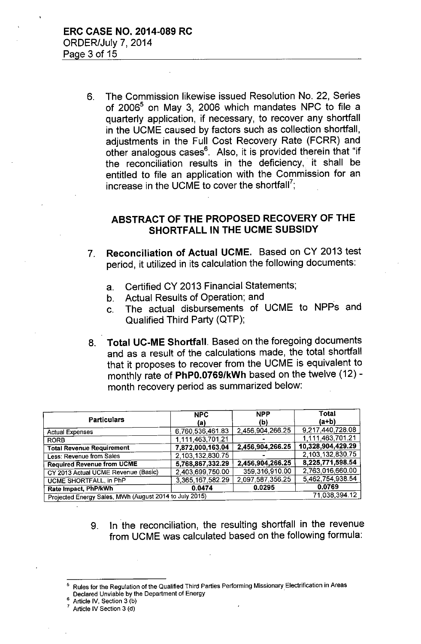6. The Commission likewise issued Resolution No. 22, Series of 2006<sup>5</sup> on May 3, 2006 which mandates NPC to file a quarterly application, if necessary, to recover any shortfall in the UCME caused by factors such as collection shortfall, adjustments in the Full Cost Recovery Rate (FCRR) and other analogous cases<sup>6</sup>. Also, it is provided therein that "if the reconciliation results in the deficiency, it shall be entitled to file an application with the Commission for an increase in the UCME to cover the shortfall<sup>7</sup>;

# ABSTRACT OF THE PROPOSED RECOVERY OF THE SHORTFALL IN THE UCME SUBSIDY

- 7. Reconciliation of Actual UCME. Based on CY 2013 test period, it utilized in its calculation the following documents:
	- a. Certified CY 2013 Financial Statements;
	- b. Actual Results of Operation; and
	- c. The actual disbursements of UCME to NPPs and Qualified Third Party (QTP);
- 8. Total UC-ME Shortfall. Based on the foregoing documents and as a result of the calculations made, the total shortfall that it proposes to recover from the UCME is equivalent to monthly rate of PhPO.0769/kWh based on the twelve (12) month recovery period as summarized below:

| <b>Particulars</b>                                     | <b>NPC</b>       | <b>NPP</b>       | Total             |
|--------------------------------------------------------|------------------|------------------|-------------------|
|                                                        | (a)              | (b)              | $(a+b)$           |
| <b>Actual Expenses</b>                                 | 6,760,536,461.83 | 2,456,904,266.25 | 9,217,440,728.08  |
| <b>RORB</b>                                            | 1,111,463,701.21 |                  | 1,111,463,701.21  |
| <b>Total Revenue Requirement</b>                       | 7,872,000,163.04 | 2,456,904,266.25 | 10,328,904,429.29 |
| Less: Revenue from Sales                               | 2,103,132,830.75 |                  | 2,103,132,830.75  |
| <b>Required Revenue from UCME</b>                      | 5,768,867,332.29 | 2,456,904,266.25 | 8,225,771,598.54  |
| CY 2013 Actual UCME Revenue (Basic)                    | 2,403,699,750.00 | 359,316,910.00   | 2,763,016,660.00  |
| <b>UCME SHORTFALL, in PhP</b>                          | 3,365,167,582.29 | 2 097 587,356.25 | 5,462,754,938.54  |
| Rate Impact, PhP/kWh                                   | 0.0474           | 0.0295           | 0.0769            |
| Projected Energy Sales, MWh (August 2014 to July 2015) |                  |                  | 71,038,394.12     |

9. In the reconciliation, the resulting shortfall in the revenue from UCME was calculated based on the following formula:

Article IV, Section 3 (b)

<sup>5</sup> Rules for the Regulation of the Qualified Third Parties Performing Missionary Electrification in Areas Declared Unviable by the Department of Energy .

Article IV Section 3 (d)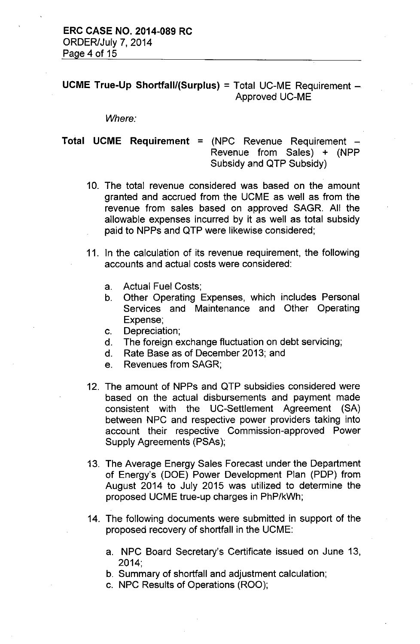**UCME True-Up Shortfall/(Surplus)** = Total UC-ME Requirement - Approved UC-ME

*Where:*

## **Total UCME Requirement** = (NPC Revenue Requirement -Revenue from Sales) + (NPP Subsidy and QTP Subsidy)

- 10. The total revenue considered was based on the amount granted and accrued from the UCME as well as from the revenue from sales based on approved SAGR. All the allowable expenses incurred by it as well as total subsidy paid to NPPs and QTP were likewise considered;
- 11. In the calculation of its revenue requirement, the following accounts and actual costs were considered:
	- a. Actual Fuel Costs;
	- b. Other Operating Expenses, which includes Personal Services and Maintenance and Other Operating Expense;
	- c. Depreciation;
	- d. The foreign exchange fluctuation on debt servicing;
	- d. Rate Base as of December 2013; and
	- e. Revenues from SAGR;
- 12. The amount of NPPs and QTP subsidies considered were based on the actual disbursements and payment made consistent with the UC-Settlement Agreement (SA) between NPC and respective power providers taking into account their respective Commission-approved Power Supply Agreements (PSAs);
- 13. The Average Energy Sales Forecast under the Department of Energy's (DOE) Power Development Plan (PDP) from August 2014 to July 2015 was utilized to determine the proposed UCME true-up charges in PhP/kWh;
- 14. The following documents were submitted in support of the proposed recovery of shortfall in the UCME:
	- a. NPC Board Secretary's Certificate issued on June 13, 2014;
	- b. Summary of shortfall and adjustment calculation;
	- c. NPC Results of Operations (ROO);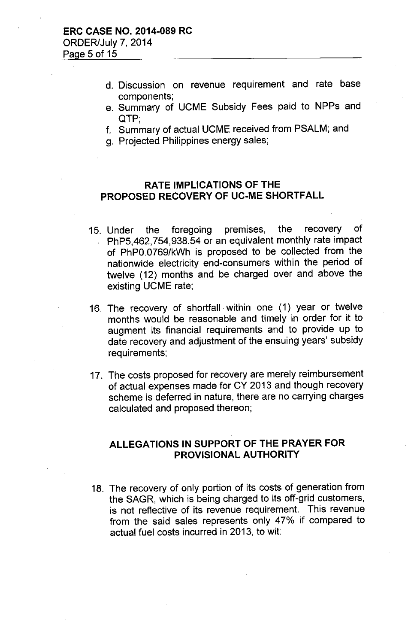- d. Discussion on revenue requirement and rate base components;
- e. Summary of UCME Subsidy Fees paid to NPPs and QTP',
- f. Summary of actual UCME received from PSALM; and
- g. Projected Philippines energy sales;

### **RATE IMPLICATIONS OF THE PROPOSED RECOVERY OF UC-ME SHORTFALL**

- 15. Under the foregoing premises, the recovery of PhP5,462,754,938.54 or an equivalent monthly rate impact of PhPO.0769/kWh is proposed to be collected from the nationwide electricity end-consumers within the period of twelve (12) months and be charged over and above the existing UCME rate;
- 16. The recovery of shortfall within one (1) year or twelve months would be reasonable and timely in order for it to augment its financial requirements and to provide up to date recovery and adjustment of the ensuing years' subsidy requirements;
- 17. The costs proposed for recovery are merely reimbursement of actual expenses made for CY 2013 and though recovery scheme is deferred in nature, there are no carrying charges calculated and proposed thereon;

### **ALLEGATIONS IN SUPPORT OF THE PRAYER FOR PROVISIONAL AUTHORITY**

18. The recovery of only portion of its costs of generation from the SAGR, which is being charged to its off-grid customers, is not reflective of its revenue requirement. This revenue from the said sales represents only 47% if compared to actual fuel costs incurred in 2013, to wit: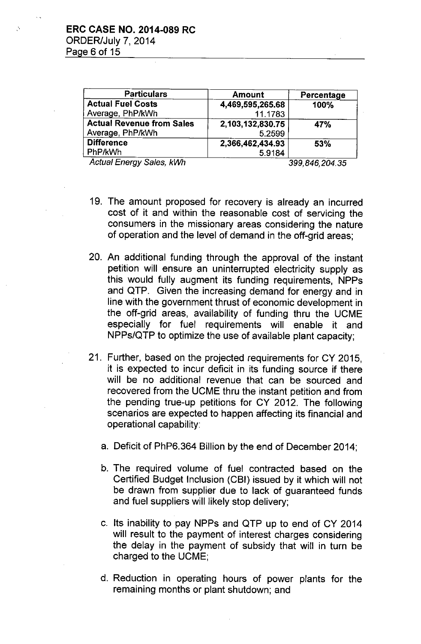| <b>Particulars</b>               | <b>Amount</b>    | Percentage    |
|----------------------------------|------------------|---------------|
| <b>Actual Fuel Costs</b>         | 4,469,595,265.68 | 100%          |
| Average, PhP/kWh                 | 11.1783          |               |
| <b>Actual Revenue from Sales</b> | 2,103,132,830.75 | 47%           |
| Average, PhP/kWh                 | 5.2599           |               |
| <b>Difference</b>                | 2,366,462,434.93 | 53%           |
| PhP/kWh                          | 5.9184           |               |
| $A$ obied Fannon: Calan LIAIL    |                  | ,,,,,,,,,,,,, |

*Actual Energy Sales, kWh 399,846,204.35*

- 19, The amount proposed for recovery is already an incurred cost of it and within the reasonable cost of servicing the consumers in the missionary areas considering the nature of operation and the level of demand in the off-grid areas;
- 20, An additional funding through the approval of the instant petition will ensure an uninterrupted electricity supply as this would fully augment its funding requirements, NPPs and QTP. Given the increasing demand for energy and in line with the government thrust of economic development in the off-grid areas, availability of funding thru the UCME especially for fuel requirements will enable it and NPPs/QTP to optimize the use of available plant capacity;
- 21, Further, based on the projected requirements for CY 2015, it is expected to incur deficit in its funding source if there will be no additional revenue that can be sourced and recovered from the UCME thru the instant petition and from the pending true-up petitions for CY 2012. The following scenarios are expected to happen affecting its financial and operational capability:
	- a. Deficit of PhP6.364 Billion by the end of December 2014;
	- b. The required volume of fuel contracted based on the Certified Budget Inclusion (CBI) issued by it which will not be drawn from supplier due to lack of guaranteed funds and fuel suppliers will likely stop delivery;
	- c. Its inability to pay NPPs and QTP up to end of CY 2014 will result to the payment of interest charges considering the delay in the payment of subsidy that will in turn be charged to the UCME;
	- d. Reduction in operating hours of power plants for the remaining months or plant shutdown; and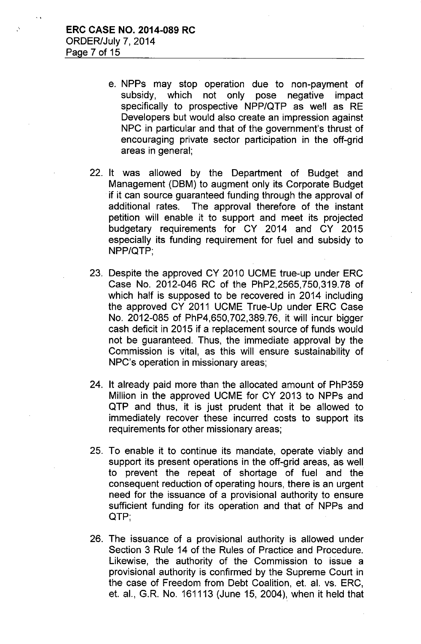- e. NPPs may stop operation due to non-payment of subsidy, which not only pose negative impact specifically to prospective NPP/QTP as well as RE Developers but would also create an impression against NPC in particular and that of the government's thrust of encouraging private sector participation in the off-grid areas in general;
- 22. It was allowed by the Department of Budget and Management (DBM) to augment only its Corporate Budget if it can source guaranteed funding through the approval of additional rates. The approval therefore of the instant petition will enable it to support and meet its projected budgetary requirements for CY 2014 and CY 2015 especially its funding requirement for fuel and subsidy to NPP/QTP;
- 23. Despite the approved CY 2010 UCME true-up under ERC Case No. 2012-046 RC of the PhP2,2565,750,319.78 of which half is supposed to be recovered in 2014 including the approved CY 2011 UCME True-Up under ERC Case No. 2012-085 of PhP4,650,702,389.76, it will incur bigger cash deficit in 2015 if a replacement source of funds would not be guaranteed. Thus, the immediate approval by the Commission is vital, as this will ensure sustainability of NPC's operation in missionary areas;
- 24. It already paid more than the allocated amount of PhP359 Million in the approved UCME for CY 2013 to NPPs and QTP and thus, it is just prudent that it be allowed to immediately recover these incurred costs to support its requirements for other missionary areas;
- 25. To enable it to continue its mandate, operate viably and support its present operations in the off-grid areas, as well to prevent the repeat of shortage of fuel and the consequent reduction of operating hours, there is an urgent need for the issuance of a provisional authority to ensure sufficient funding for its operation and that of NPPs and QTP;
- 26. The issuance of a provisional authority is allowed under Section 3 Rule 14 of the Rules of Practice and Procedure. Likewise, the authority of the Commission to issue a provisional authority is confirmed by the Supreme Court in the case of Freedom from Debt Coalition, et. al. vs. ERC, et. aI., G.R. No. 161113 (June 15, 2004), when it held that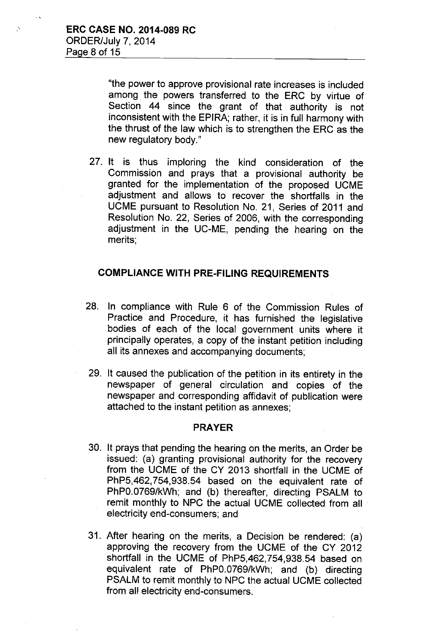"the power to approve provisional rate increases is included among. the powers transferred to the ERC by virtue of Section 44 since the grant of that authority *is* not inconsistent with the EPIRA; rather, it is in full harmony with the thrust of the law which is to strengthen the ERC as the new regulatory body."

27. It is thus imploring the kind consideration of the Commission and prays that a provisional authority be granted for the implementation of the proposed UCME adjustment and allows to recover the shortfalls in the UCME pursuant to Resolution No. 21, Series of 2011 and Resolution No. 22, Series of 2006, with the corresponding adjustment in the UC-ME, pending the hearing on the merits;

## COMPLIANCE WITH PRE-FILING REQUIREMENTS

- 28. In compliance with Rule 6 of the Commission Rules of Practice and Procedure, it has furnished the legislative bodies of each of the local government units where it principally operates, a copy of the instant petition including all its annexes and accompanying documents;
- 29. It caused the publication of the petition in its entirety in the newspaper of general circulation and copies of the newspaper and corresponding affidavit of publication were attached to the instant petition as annexes;

#### PRAYER

- 30. It prays that pending the hearing on the merits, an Order be issued: (a) granting provisional authority for the recovery from the UCME of the CY 2013 shortfall in the UCME of PhP5,462,754,938.54 based on the equivalent rate of PhPO.0769/kWh; and (b) thereafter, directing PSALM to remit monthly to NPC the actual UCME collected from all electricity end-consumers; and
- 31. After hearing on the merits, a Decision be rendered: (a) approving the recovery from the UCME of the CY 2012 shortfall in the UCME of PhP5,462,754,938.54 based on equivalent rate of PhPO.0769/kWh; and (b) directing PSALM to remit monthly to NPC the actual UCME collected from all electricity end-consumers.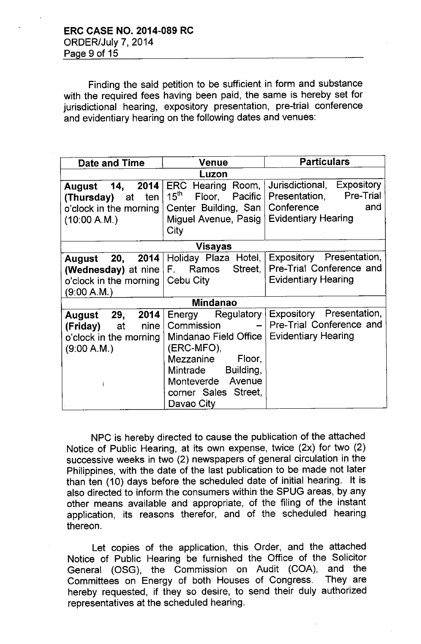Finding the said petition to be sufficient in form and substance with the required fees having been paid, the same is hereby set for jurisdictional hearing, expository presentation, pre-trial conference and evidentiary hearing on the following dates and venues:

| <b>Date and Time</b>                                                                                  | <b>Venue</b>                                                                                                                                                                   | <b>Particulars</b>                                                                                       |  |  |
|-------------------------------------------------------------------------------------------------------|--------------------------------------------------------------------------------------------------------------------------------------------------------------------------------|----------------------------------------------------------------------------------------------------------|--|--|
| Luzon                                                                                                 |                                                                                                                                                                                |                                                                                                          |  |  |
| 2014<br>August 14,<br>ten<br>(Thursday)<br>at<br>o'clock in the morning<br>(10:00 A.M.)               | ERC Hearing Room,<br>$15^{\sf th}$<br>Floor, Pacific<br>Center Building, San<br>Miguel Avenue, Pasig  <br>City                                                                 | Jurisdictional, Expository<br>Presentation, Pre-Trial<br>Conference<br>and<br><b>Evidentiary Hearing</b> |  |  |
| Visayas                                                                                               |                                                                                                                                                                                |                                                                                                          |  |  |
| August<br>(Wednesday) at nine F. Ramos<br>o'clock in the morning   Cebu City<br>(9:00 A.M.)           | 20, 2014 Holiday Plaza Hotel,<br>Street,                                                                                                                                       | Expository Presentation,<br>Pre-Trial Conference and<br><b>Evidentiary Hearing</b>                       |  |  |
| <b>Mindanao</b>                                                                                       |                                                                                                                                                                                |                                                                                                          |  |  |
| August 29,<br>2014<br>nine<br>(Friday)<br>at<br>o'clock in the morning<br>(9:00 A.M.)<br>$\mathbf{E}$ | Energy Regulatory<br>Commission<br>Mindanao Field Office<br>(ERC-MFO),<br>Mezzanine Floor,<br>Building,<br>Mintrade<br>Monteverde Avenue<br>corner Sales Street,<br>Davao City | Expository Presentation,<br>Pre-Trial Conference and<br><b>Evidentiary Hearing</b>                       |  |  |

NPC is hereby directed to cause the publication of the attached Notice of Public Hearing, at its own expense, twice (2x) for two (2) successive weeks in two (2) newspapers of general circulation in the Philippines, with the date of the last publication to be made not later than ten (10) days before the scheduled date of initial hearing. It is also directed to inform the consumers within the SPUG areas, by any other means available and appropriate, of the filing of the instant application, its reasons therefor, and of the scheduled hearing thereon.

Let copies of the application, this Order, and the attached Notice of Public Hearing be furnished the Office of the Solicitor General (OSG), the Commission on Audit (COA), and the Committees on Energy of both Houses of Congress. They are hereby requested, if they so desire, to send their duly authorized representatives at the scheduled hearing.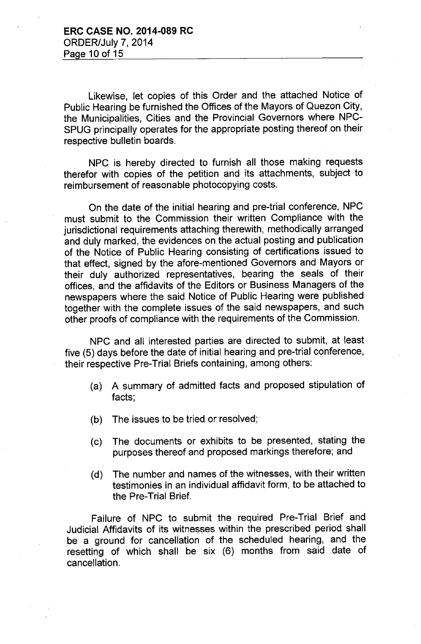Likewise, let copies of this Order and the attached Notice of Public Hearing be furnished the Offices of the Mayors of Quezon City, the Municipalities, Cities and the Provincial Governors where NPC-SPUG principally operates for the appropriate posting thereof on their respective bulletin boards.

NPC is hereby directed to furnish all those making requests therefor with copies of the petition and its attachments, subject to reimbursement of reasonable photocopying costs.

On the date of the initial hearing and pre-trial conference, NPC must submit to the Commission their written Compliance with the jurisdictional requirements attaching therewith, methodically arranged and duly marked, the evidences on the actual posting and publication of the Notice of Public Hearing consisting of certifications issued to that effect, signed by the afore-mentioned Governors and Mayors or their duly authorized representatives, bearing the seals of their offices, and the affidavits of the Editors or Business Managers of the newspapers where the said Notice of Public Hearing were published together with the complete issues of the said newspapers, and such other proofs of compliance with the requirements of the Commission.

NPC and all interested parties are directed to submit, at least five (5) days before the date of initial hearing and pre-trial conference, their respective Pre-Trial Briefs containing, among others:

- (a) A summary of admitted facts and proposed stipulation of facts;
- (b) The issues to be tried or resolved;
- (c) The documents or exhibits to be presented, stating the purposes thereof and proposed markings therefore; and
- (d) The number and names of the witnesses, with their written testimonies in an individual affidavit form, to be attached to the Pre-Trial Brief.

Failure of NPC to submit the required Pre-Trial Brief and Judicial Affidavits of its witnesses within the prescribed period shall be a ground for cancellation of the scheduled hearing, and the resetting of which shall be six (6) months from said date of cancellation.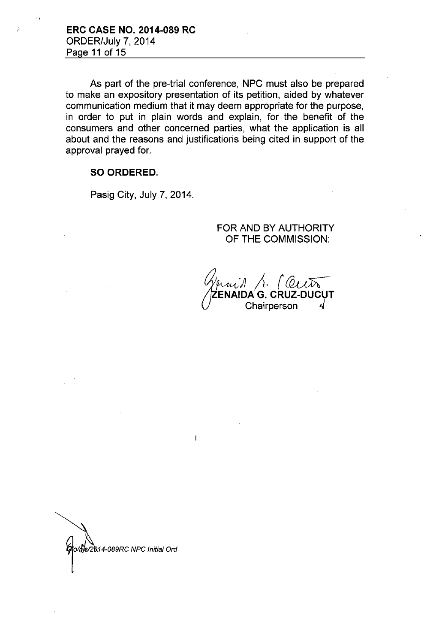As part of the pre-trial conference, NPC must also be prepared to make an expository presentation of its petition, aided by whatever communication medium that it may deem appropriate for the purpose, in order to put in plain words and explain, for the benefit of the consumers and other concerned parties, what the application is all about and the reasons and justifications being cited in support of the approval prayed for.

### **SO ORDERED.**

Pasig City, July 7, 2014.

FOR AND BY AUTHORITY **OF THE** COMMISSION:

 $\bigcup$ /prni*1*, 1. (C **. ZENAIDA G. CRUZ-DUCUT Chairperson** 

MS/2014-089RC NPC Initial Ord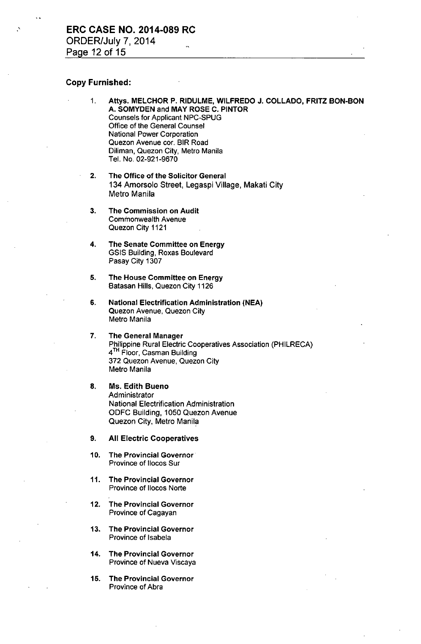#### Copy Furnished:

- 1. Attys. MELCHOR P. RIDULME, WILFREDO J. COLLADO, FRITZ BON-BON A. SOMYDEN and MAY ROSE C. PINTOR Counsels for Applicant NPC-SPUG Office of the General Counsel National Power Corporation Quezon Avenue cor. BIR Road Diliman, Quezon City, Metro Manila Tel. No. 02-921-9670
- 2. The Office of the Solicitor General 134 Amorsolo Street, Legaspi Village, Makati City Metro Manila
- 3. The Commission on Audit Commonwealth Avenue Quezon City 1121
- 4. The Senate Committee on Energy GSIS Building, Roxas Boulevard Pasay City 1307
- 5. The House Committee on Energy Batasan Hills, Quezon City 1126
- 6. National Electrification Administration (NEAl Quezon Avenue, Quezon City Metro Manila
- 7. The General Manager Philippine Rural Electric Cooperatives Association (PHILRECA) 4<sup>TH</sup> Floor, Casman Building 372 Quezon Avenue, Quezon City Metro Manila
- 8. Ms. Edith Bueno Administrator National Electrification Administration ODFC Building, 1050 Quezon Avenue Quezon City, Metro Manila
- 9. All Electric Cooperatives
- 10. The Provincial Governor' Province of Ilocos Sur
- 11. The Provincial Governor Province of Ilocos Norte
- 12. The Provincial Governor Province of Cagayan
- 13. The Provincial Governor Province of lsabela
- 14. The Provincial Governor Province of Nueva Viscaya
- 15. The Provincial Governor Province of Abra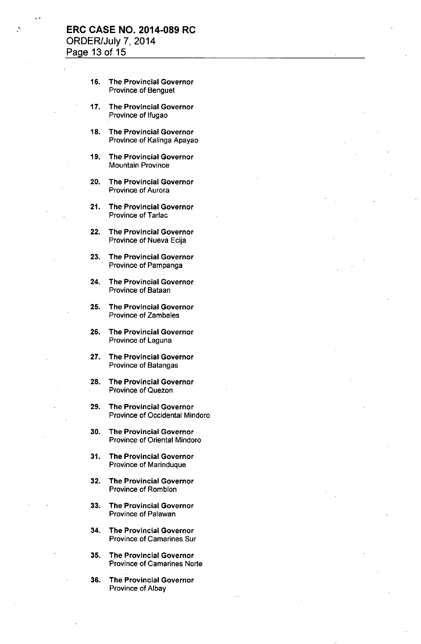### ", **ERC CASE NO. 2014-089 RC** ORDER/July 7, 2014 Page 13 of 15

- 16. The Provincial Governor Province of Benguet
- 17. The Provincial Governor Province of Ifugao
- 18. The Provincial Governor Province of Kalinga Apayao
- 19. The Provincial Governor Mountain Province
- 20. The Provincial Governor Province of Aurora
- 21. The Provincial Governor Province of Tarlac
- 22. The Provincial Governor Province of Nueva Ecija
- 23. The Provincial Governor Province of Pampanga
- 24. The Provincial Governor Province of Bataan
- 25. The Provincial Governor Province of Zambales
- 26. The Provincial Governor Province of Laguna
- 27. The Provincial Governor Province of Batangas
- 28. The Provincial Governor Province of Quezon
- 29. The Provincial Governor Province of Occidental Mindoro
- 30. The Provincial Governor Province of Oriental Mindoro
- 31. The Provincial Governor Province of Marinduque
- 32. The Provincial Governor Province of Romblon
- 33. The Provincial Governor Province of Palawan
- 34. The Provincial Governor Province of Camarines Sur
- 35. The Provincial Governor Province of Camarines Norte
- 36. The Provincial Governor Province of Albay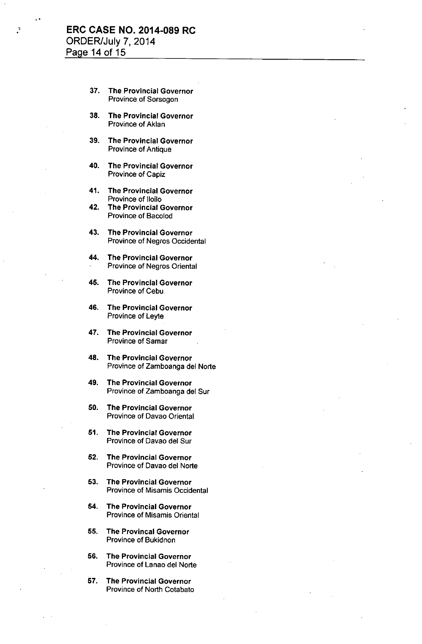### **ERC CASE NO. 2014-089 RC** ORDER/July 7, 2014 Page **14** of 15

..

- 37. The Provincial Governor Province of Sorsogon
- 38. The Provincial Governor Province of Aklan
- 39. The Provincial Governor Province of Antique
- 40. The Provincial Governor Province of Capiz
- 41. The Provincial Governor Province of Iloilo
- 42. The Provincial Governor Province of Bacolod
- 43. The Provincial Governor Province of Negros Occidental
- 44. The Provincial Governor Province of Negros Oriental
- 45. The Provincial Governor Province of Cebu
- 46. The Provincial Governor Province of Leyte
- 47. The Provincial Governor Province of Samar
- 48. The Provincial Governor Province of Zamboanga del Norte
- 49. The Provincial Governor Province of Zamboanga del Sur
- 50. The Provincial Governor Province of Davao Oriental
- 51. The Provincial Governor Province of Davao del Sur
- 52. The Provincial Governor Province of Davao del Norte
- 53. The Provincial Governor Province of Misamis Occidental
- 54. The Provincial Governor Province of Misamis Oriental
- 55. The Provincal Governor Province of Bukidnon
- 56. The Provincial Governor Province of Lanao del Norte
- 57. The Provincial Governor Province of North Cotabato